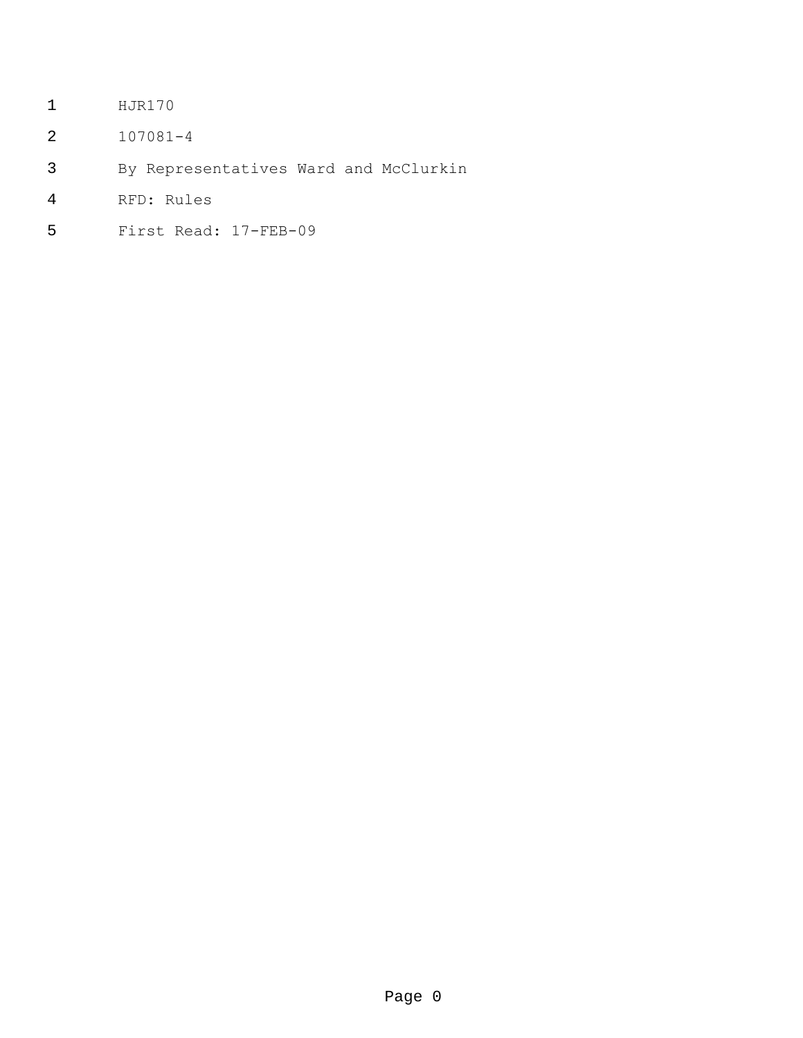- HJR170
- 107081-4
- By Representatives Ward and McClurkin
- RFD: Rules
- First Read: 17-FEB-09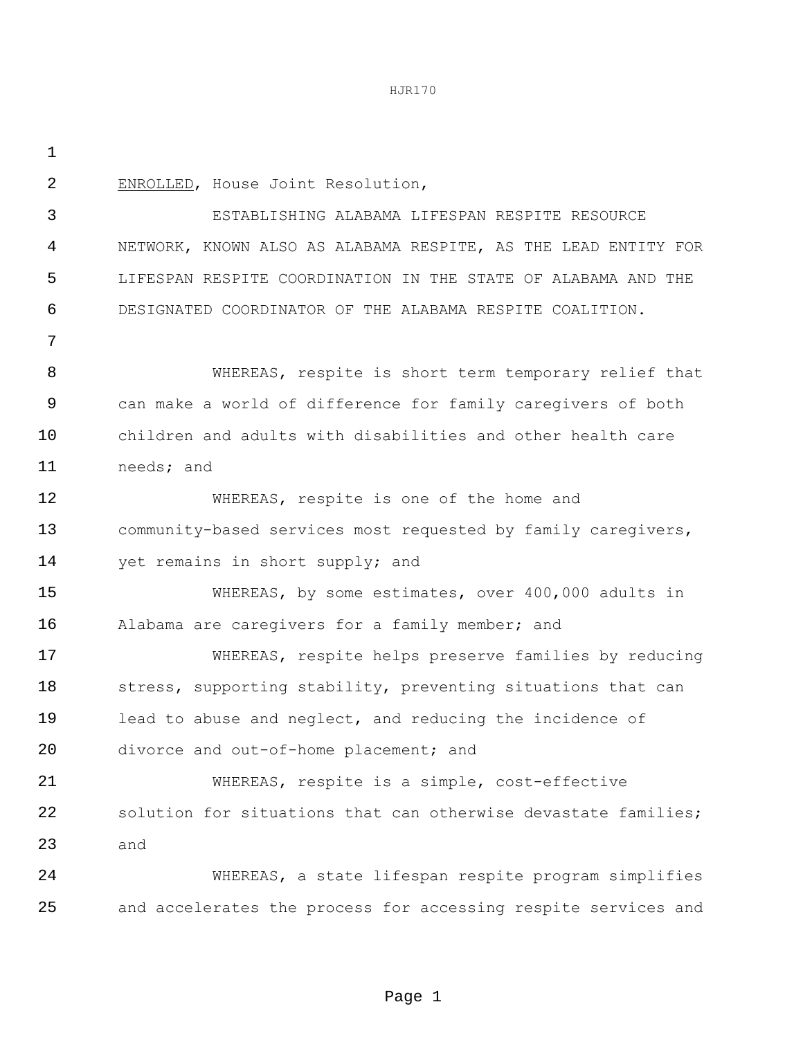ENROLLED, House Joint Resolution,

 ESTABLISHING ALABAMA LIFESPAN RESPITE RESOURCE NETWORK, KNOWN ALSO AS ALABAMA RESPITE, AS THE LEAD ENTITY FOR LIFESPAN RESPITE COORDINATION IN THE STATE OF ALABAMA AND THE DESIGNATED COORDINATOR OF THE ALABAMA RESPITE COALITION.

 WHEREAS, respite is short term temporary relief that can make a world of difference for family caregivers of both children and adults with disabilities and other health care needs; and

 WHEREAS, respite is one of the home and community-based services most requested by family caregivers, 14 yet remains in short supply; and

 WHEREAS, by some estimates, over 400,000 adults in Alabama are caregivers for a family member; and

 WHEREAS, respite helps preserve families by reducing 18 stress, supporting stability, preventing situations that can lead to abuse and neglect, and reducing the incidence of divorce and out-of-home placement; and

 WHEREAS, respite is a simple, cost-effective solution for situations that can otherwise devastate families; and

 WHEREAS, a state lifespan respite program simplifies and accelerates the process for accessing respite services and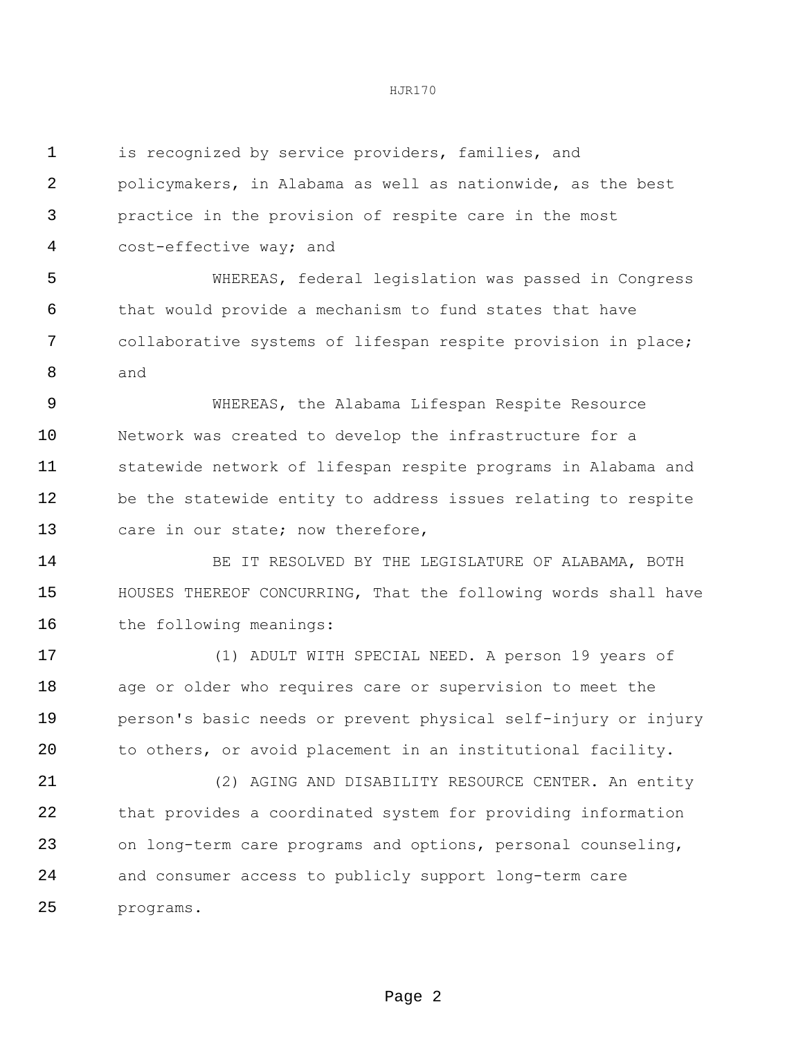| 1  | is recognized by service providers, families, and              |  |  |  |
|----|----------------------------------------------------------------|--|--|--|
| 2  | policymakers, in Alabama as well as nationwide, as the best    |  |  |  |
| 3  | practice in the provision of respite care in the most          |  |  |  |
| 4  | cost-effective way; and                                        |  |  |  |
| 5  | WHEREAS, federal legislation was passed in Congress            |  |  |  |
| 6  | that would provide a mechanism to fund states that have        |  |  |  |
| 7  | collaborative systems of lifespan respite provision in place;  |  |  |  |
| 8  | and                                                            |  |  |  |
| 9  | WHEREAS, the Alabama Lifespan Respite Resource                 |  |  |  |
| 10 | Network was created to develop the infrastructure for a        |  |  |  |
| 11 | statewide network of lifespan respite programs in Alabama and  |  |  |  |
| 12 | be the statewide entity to address issues relating to respite  |  |  |  |
| 13 | care in our state; now therefore,                              |  |  |  |
| 14 | BE IT RESOLVED BY THE LEGISLATURE OF ALABAMA, BOTH             |  |  |  |
| 15 | HOUSES THEREOF CONCURRING, That the following words shall have |  |  |  |
| 16 | the following meanings:                                        |  |  |  |
| 17 | (1) ADULT WITH SPECIAL NEED. A person 19 years of              |  |  |  |
| 18 | age or older who requires care or supervision to meet the      |  |  |  |
| 19 | person's basic needs or prevent physical self-injury or injury |  |  |  |
| 20 | to others, or avoid placement in an institutional facility.    |  |  |  |
| 21 | (2) AGING AND DISABILITY RESOURCE CENTER. An entity            |  |  |  |
| 22 | that provides a coordinated system for providing information   |  |  |  |
| 23 | on long-term care programs and options, personal counseling,   |  |  |  |
| 24 | and consumer access to publicly support long-term care         |  |  |  |
| 25 | programs.                                                      |  |  |  |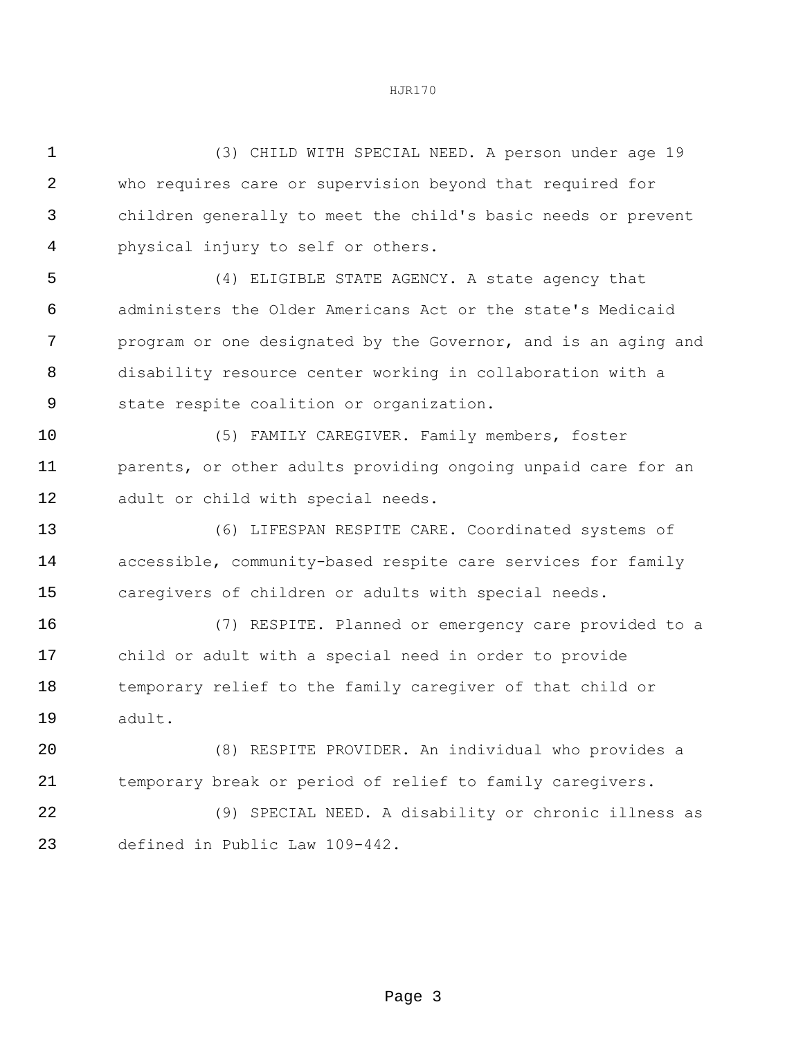(3) CHILD WITH SPECIAL NEED. A person under age 19 who requires care or supervision beyond that required for children generally to meet the child's basic needs or prevent physical injury to self or others. (4) ELIGIBLE STATE AGENCY. A state agency that administers the Older Americans Act or the state's Medicaid program or one designated by the Governor, and is an aging and disability resource center working in collaboration with a state respite coalition or organization. (5) FAMILY CAREGIVER. Family members, foster **parents, or other adults providing ongoing unpaid care for an**  adult or child with special needs. (6) LIFESPAN RESPITE CARE. Coordinated systems of accessible, community-based respite care services for family caregivers of children or adults with special needs. (7) RESPITE. Planned or emergency care provided to a child or adult with a special need in order to provide temporary relief to the family caregiver of that child or adult. (8) RESPITE PROVIDER. An individual who provides a temporary break or period of relief to family caregivers. (9) SPECIAL NEED. A disability or chronic illness as

defined in Public Law 109-442.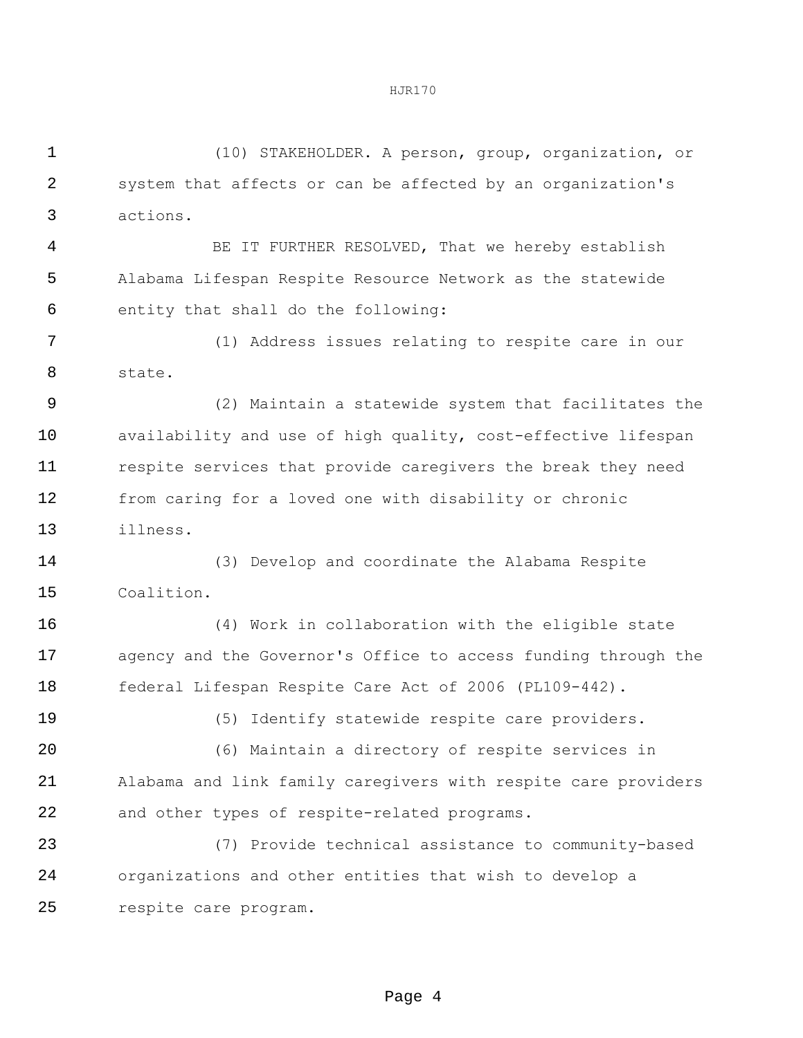(10) STAKEHOLDER. A person, group, organization, or system that affects or can be affected by an organization's actions.

 BE IT FURTHER RESOLVED, That we hereby establish Alabama Lifespan Respite Resource Network as the statewide entity that shall do the following:

 (1) Address issues relating to respite care in our state.

 (2) Maintain a statewide system that facilitates the availability and use of high quality, cost-effective lifespan respite services that provide caregivers the break they need from caring for a loved one with disability or chronic illness.

 (3) Develop and coordinate the Alabama Respite Coalition.

 (4) Work in collaboration with the eligible state agency and the Governor's Office to access funding through the federal Lifespan Respite Care Act of 2006 (PL109-442).

(5) Identify statewide respite care providers.

 (6) Maintain a directory of respite services in Alabama and link family caregivers with respite care providers and other types of respite-related programs.

 (7) Provide technical assistance to community-based organizations and other entities that wish to develop a respite care program.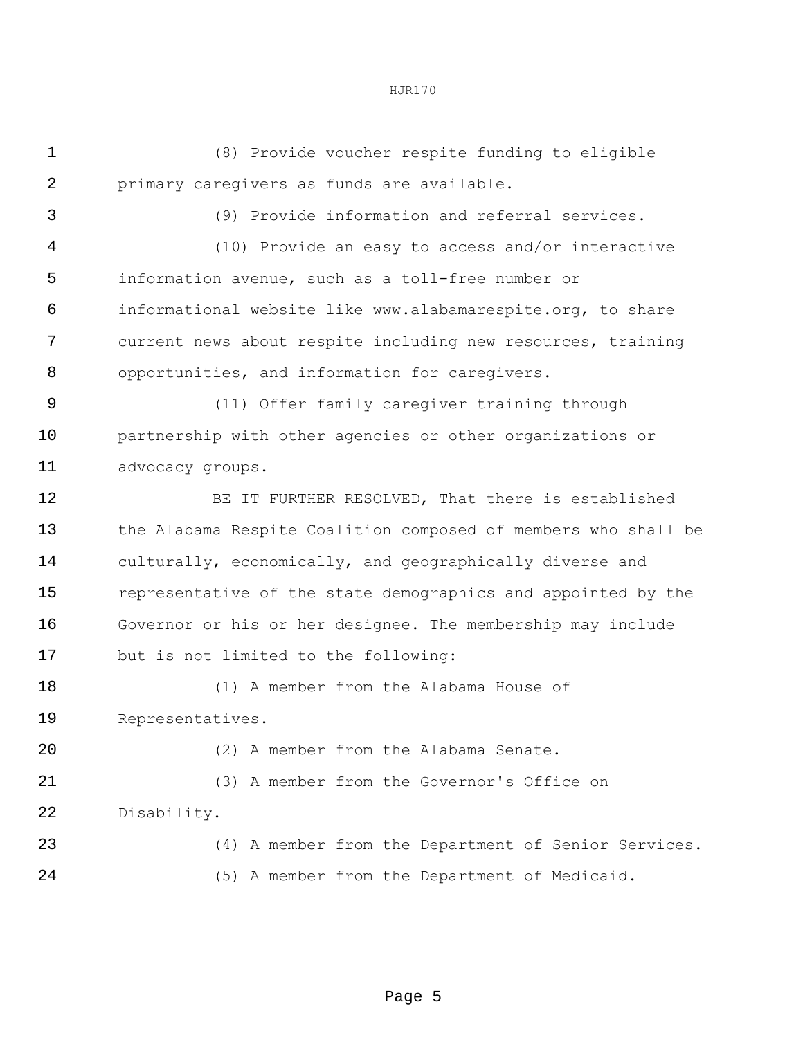(8) Provide voucher respite funding to eligible primary caregivers as funds are available. (9) Provide information and referral services.

 (10) Provide an easy to access and/or interactive information avenue, such as a toll-free number or informational website like www.alabamarespite.org, to share current news about respite including new resources, training opportunities, and information for caregivers.

 (11) Offer family caregiver training through partnership with other agencies or other organizations or advocacy groups.

 BE IT FURTHER RESOLVED, That there is established the Alabama Respite Coalition composed of members who shall be culturally, economically, and geographically diverse and representative of the state demographics and appointed by the Governor or his or her designee. The membership may include but is not limited to the following:

 (1) A member from the Alabama House of Representatives. (2) A member from the Alabama Senate. (3) A member from the Governor's Office on Disability.

 (4) A member from the Department of Senior Services. (5) A member from the Department of Medicaid.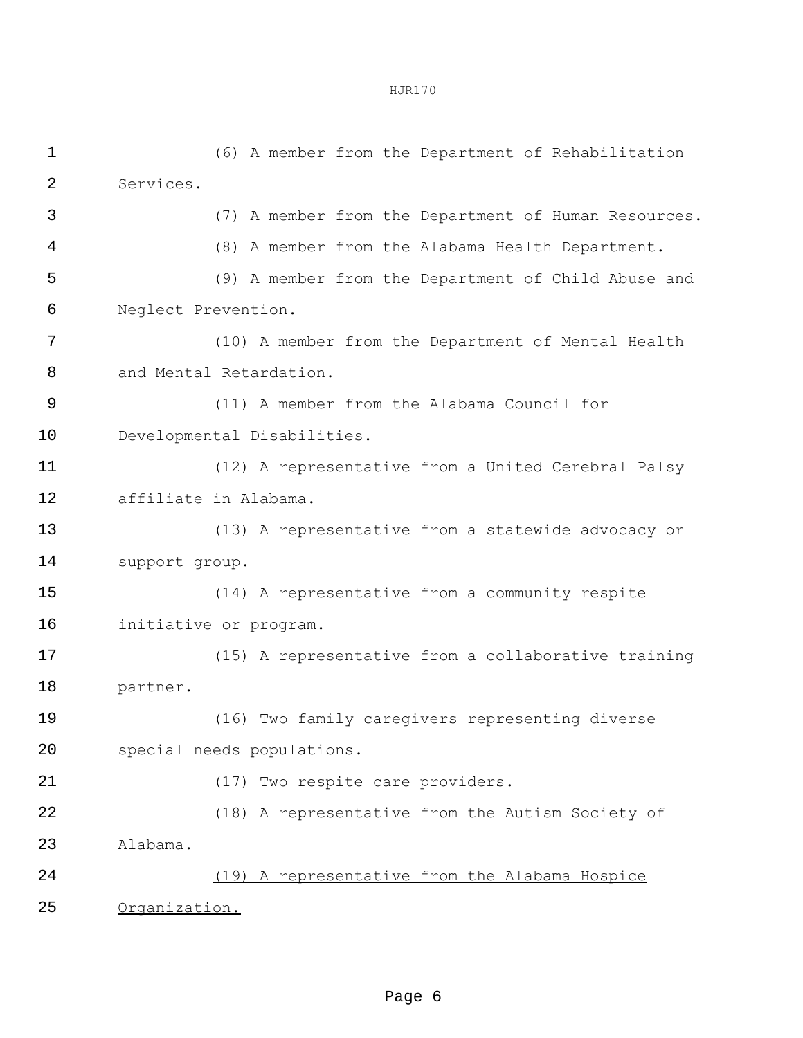(6) A member from the Department of Rehabilitation Services. (7) A member from the Department of Human Resources. (8) A member from the Alabama Health Department. (9) A member from the Department of Child Abuse and Neglect Prevention. (10) A member from the Department of Mental Health and Mental Retardation. (11) A member from the Alabama Council for Developmental Disabilities. (12) A representative from a United Cerebral Palsy affiliate in Alabama. (13) A representative from a statewide advocacy or support group. (14) A representative from a community respite initiative or program. (15) A representative from a collaborative training partner. (16) Two family caregivers representing diverse special needs populations. 21 (17) Two respite care providers. (18) A representative from the Autism Society of Alabama. (19) A representative from the Alabama Hospice Organization.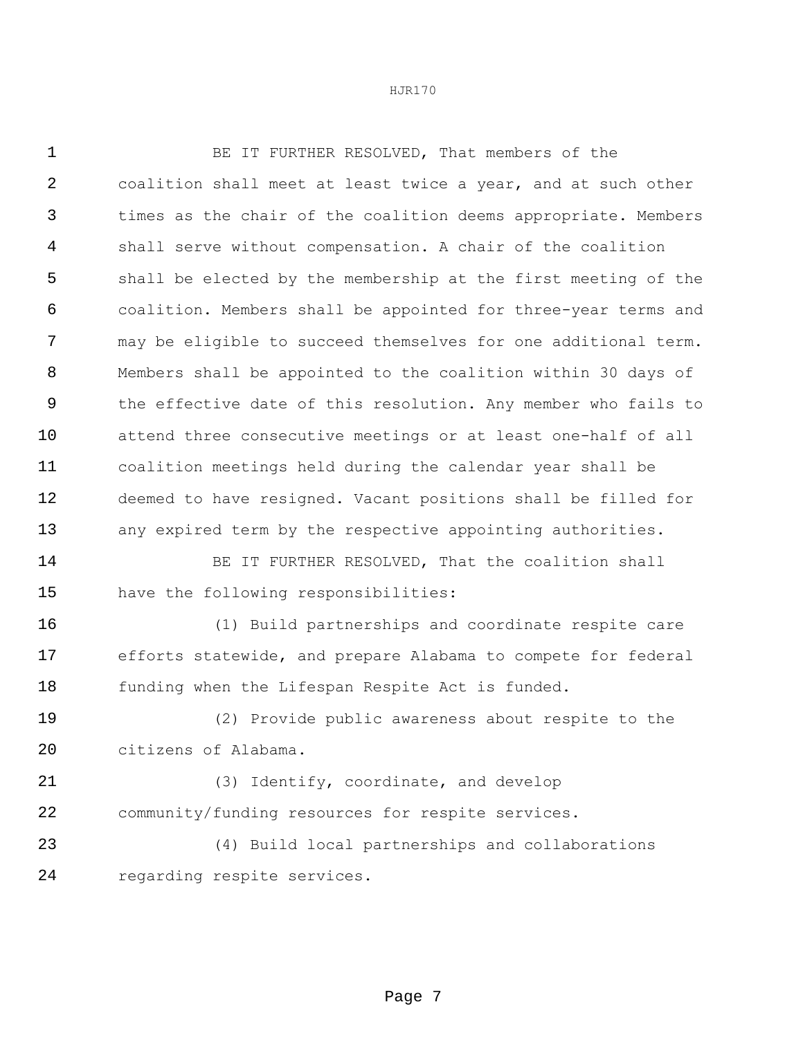| $\mathbf 1$ | BE IT FURTHER RESOLVED, That members of the                    |
|-------------|----------------------------------------------------------------|
| 2           | coalition shall meet at least twice a year, and at such other  |
| 3           | times as the chair of the coalition deems appropriate. Members |
| 4           | shall serve without compensation. A chair of the coalition     |
| 5           | shall be elected by the membership at the first meeting of the |
| 6           | coalition. Members shall be appointed for three-year terms and |
| 7           | may be eligible to succeed themselves for one additional term. |
| 8           | Members shall be appointed to the coalition within 30 days of  |
| 9           | the effective date of this resolution. Any member who fails to |
| 10          | attend three consecutive meetings or at least one-half of all  |
| 11          | coalition meetings held during the calendar year shall be      |
| 12          | deemed to have resigned. Vacant positions shall be filled for  |
| 13          | any expired term by the respective appointing authorities.     |
| 14          | BE IT FURTHER RESOLVED, That the coalition shall               |
| 15          | have the following responsibilities:                           |
| 16          | (1) Build partnerships and coordinate respite care             |
| 17          | efforts statewide, and prepare Alabama to compete for federal  |
| 18          | funding when the Lifespan Respite Act is funded.               |
| 19          | (2) Provide public awareness about respite to the              |
| 20          | citizens of Alabama.                                           |
| 21          | (3) Identify, coordinate, and develop                          |
| 22          | community/funding resources for respite services.              |
| 23          | (4) Build local partnerships and collaborations                |
| 24          | regarding respite services.                                    |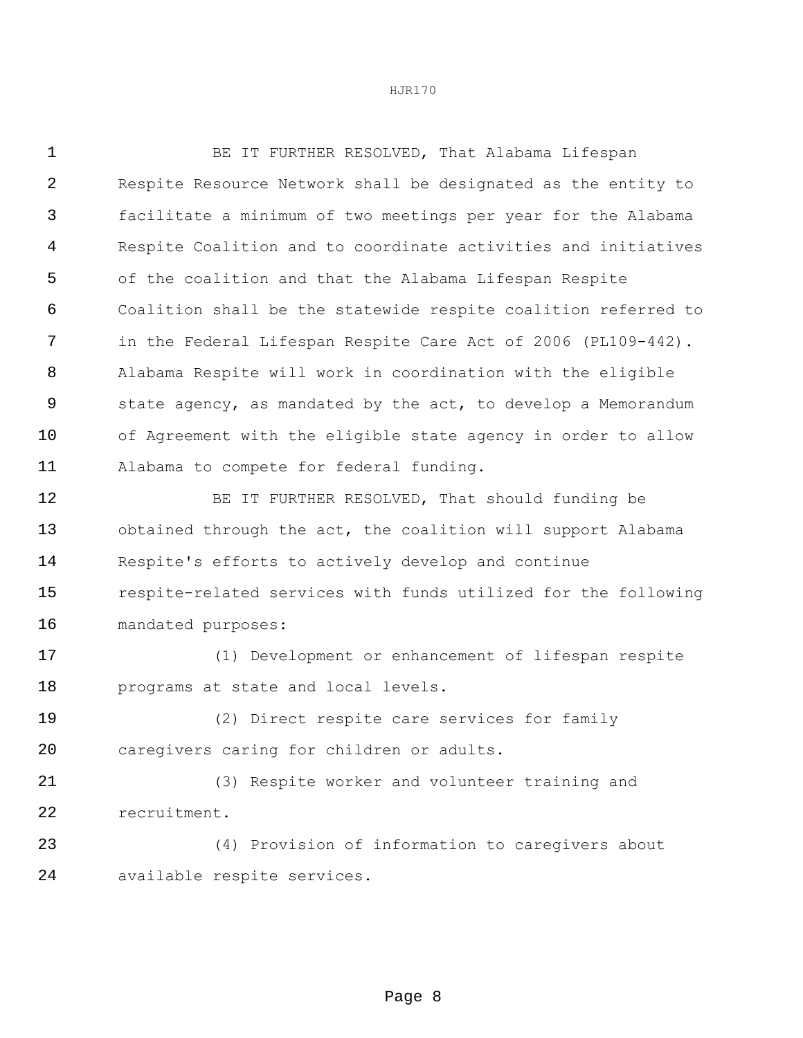| $\mathbf{1}$   | BE IT FURTHER RESOLVED, That Alabama Lifespan                  |  |  |  |  |
|----------------|----------------------------------------------------------------|--|--|--|--|
| $\overline{2}$ | Respite Resource Network shall be designated as the entity to  |  |  |  |  |
| 3              | facilitate a minimum of two meetings per year for the Alabama  |  |  |  |  |
| 4              | Respite Coalition and to coordinate activities and initiatives |  |  |  |  |
| 5              | of the coalition and that the Alabama Lifespan Respite         |  |  |  |  |
| 6              | Coalition shall be the statewide respite coalition referred to |  |  |  |  |
| 7              | in the Federal Lifespan Respite Care Act of 2006 (PL109-442).  |  |  |  |  |
| 8              | Alabama Respite will work in coordination with the eligible    |  |  |  |  |
| 9              | state agency, as mandated by the act, to develop a Memorandum  |  |  |  |  |
| 10             | of Agreement with the eligible state agency in order to allow  |  |  |  |  |
| 11             | Alabama to compete for federal funding.                        |  |  |  |  |
| 12             | BE IT FURTHER RESOLVED, That should funding be                 |  |  |  |  |
| 13             | obtained through the act, the coalition will support Alabama   |  |  |  |  |
| 14             | Respite's efforts to actively develop and continue             |  |  |  |  |
| 15             | respite-related services with funds utilized for the following |  |  |  |  |
| 16             | mandated purposes:                                             |  |  |  |  |
| 17             | (1) Development or enhancement of lifespan respite             |  |  |  |  |
| 18             | programs at state and local levels.                            |  |  |  |  |
| 19             | (2) Direct respite care services for family                    |  |  |  |  |
| 20             | caregivers caring for children or adults.                      |  |  |  |  |

 (3) Respite worker and volunteer training and recruitment.

 (4) Provision of information to caregivers about available respite services.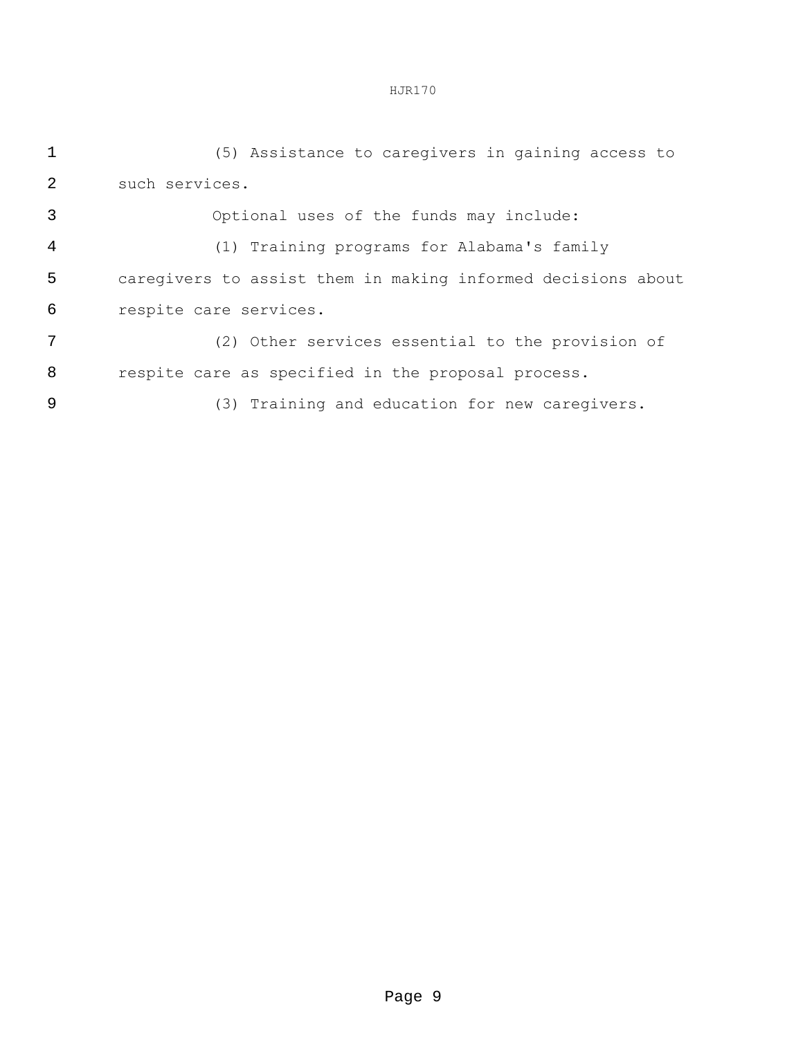(5) Assistance to caregivers in gaining access to such services.

 Optional uses of the funds may include: (1) Training programs for Alabama's family caregivers to assist them in making informed decisions about

(2) Other services essential to the provision of

respite care services.

respite care as specified in the proposal process.

(3) Training and education for new caregivers.